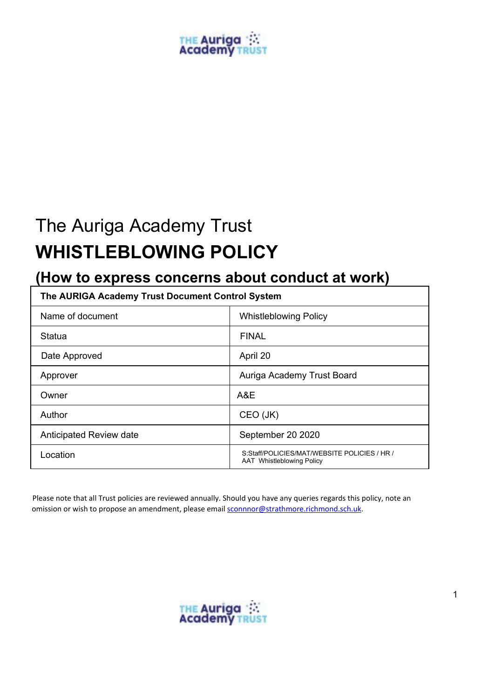# **THE Auriga**<br>Academy T

## The Auriga Academy Trust **WHISTLEBLOWING POLICY**

### **(How to express concerns about conduct at work)**

| The AURIGA Academy Trust Document Control System |                                                                           |
|--------------------------------------------------|---------------------------------------------------------------------------|
| Name of document                                 | <b>Whistleblowing Policy</b>                                              |
| Statua                                           | <b>FINAL</b>                                                              |
| Date Approved                                    | April 20                                                                  |
| Approver                                         | Auriga Academy Trust Board                                                |
| Owner                                            | A&E                                                                       |
| Author                                           | CEO (JK)                                                                  |
| Anticipated Review date                          | September 20 2020                                                         |
| Location                                         | S:Staff/POLICIES/MAT/WEBSITE POLICIES / HR /<br>AAT Whistleblowing Policy |

Please note that all Trust policies are reviewed annually. Should you have any queries regards this policy, note an omission or wish to propose an amendment, please email **sconnnor@strathmore.richmond.sch.uk**.

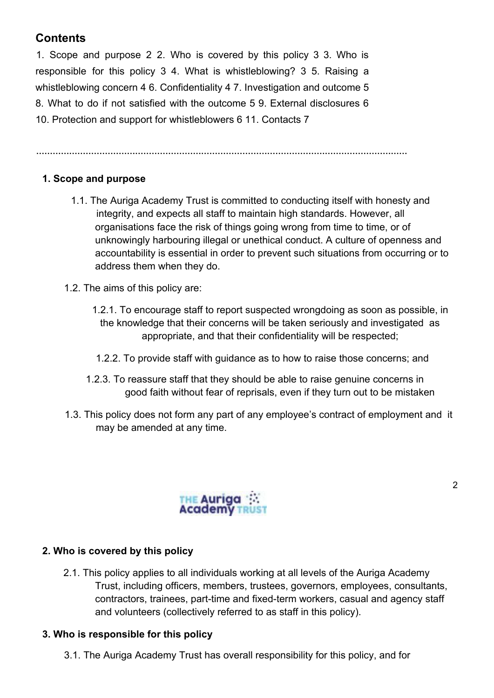#### **Contents**

1. Scope and purpose 2 2. Who is covered by this policy 3 3. Who is responsible for this policy 3 4. What is whistleblowing? 3 5. Raising a whistleblowing concern 4 6. Confidentiality 4 7. Investigation and outcome 5 8. What to do if not satisfied with the outcome 5 9. External disclosures 6 10. Protection and support for whistleblowers 6 11. Contacts 7

**………………………………………………………………………………………………………………………**

#### **1. Scope and purpose**

- 1.1. The Auriga Academy Trust is committed to conducting itself with honesty and integrity, and expects all staff to maintain high standards. However, all organisations face the risk of things going wrong from time to time, or of unknowingly harbouring illegal or unethical conduct. A culture of openness and accountability is essential in order to prevent such situations from occurring or to address them when they do.
- 1.2. The aims of this policy are:
	- 1.2.1. To encourage staff to report suspected wrongdoing as soon as possible, in the knowledge that their concerns will be taken seriously and investigated as appropriate, and that their confidentiality will be respected;
	- 1.2.2. To provide staff with guidance as to how to raise those concerns; and
	- 1.2.3. To reassure staff that they should be able to raise genuine concerns in good faith without fear of reprisals, even if they turn out to be mistaken
- 1.3. This policy does not form any part of any employee's contract of employment and it may be amended at any time.

2



#### **2. Who is covered by this policy**

2.1. This policy applies to all individuals working at all levels of the Auriga Academy Trust, including officers, members, trustees, governors, employees, consultants, contractors, trainees, part-time and fixed-term workers, casual and agency staff and volunteers (collectively referred to as staff in this policy).

#### **3. Who is responsible for this policy**

3.1. The Auriga Academy Trust has overall responsibility for this policy, and for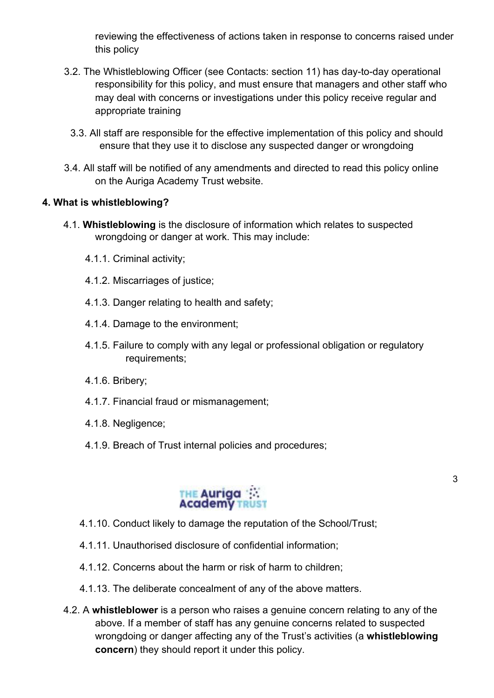reviewing the effectiveness of actions taken in response to concerns raised under this policy

- 3.2. The Whistleblowing Officer (see Contacts: section 11) has day-to-day operational responsibility for this policy, and must ensure that managers and other staff who may deal with concerns or investigations under this policy receive regular and appropriate training
	- 3.3. All staff are responsible for the effective implementation of this policy and should ensure that they use it to disclose any suspected danger or wrongdoing
- 3.4. All staff will be notified of any amendments and directed to read this policy online on the Auriga Academy Trust website.

#### **4. What is whistleblowing?**

- 4.1. **Whistleblowing** is the disclosure of information which relates to suspected wrongdoing or danger at work. This may include:
	- 4.1.1. Criminal activity;
	- 4.1.2. Miscarriages of justice;
	- 4.1.3. Danger relating to health and safety;
	- 4.1.4. Damage to the environment;
	- 4.1.5. Failure to comply with any legal or professional obligation or regulatory requirements;
	- 4.1.6. Bribery;
	- 4.1.7. Financial fraud or mismanagement;
	- 4.1.8. Negligence;
	- 4.1.9. Breach of Trust internal policies and procedures;



- 4.1.10. Conduct likely to damage the reputation of the School/Trust;
- 4.1.11. Unauthorised disclosure of confidential information;
- 4.1.12. Concerns about the harm or risk of harm to children;
- 4.1.13. The deliberate concealment of any of the above matters.
- 4.2. A **whistleblower** is a person who raises a genuine concern relating to any of the above. If a member of staff has any genuine concerns related to suspected wrongdoing or danger affecting any of the Trust's activities (a **whistleblowing concern**) they should report it under this policy.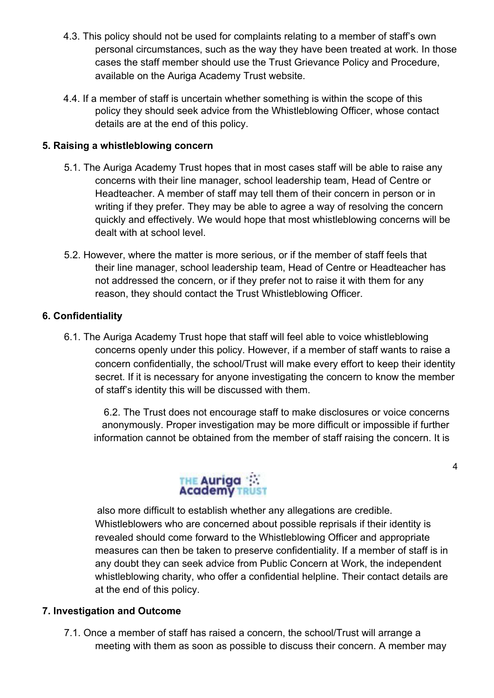- 4.3. This policy should not be used for complaints relating to a member of staff's own personal circumstances, such as the way they have been treated at work. In those cases the staff member should use the Trust Grievance Policy and Procedure, available on the Auriga Academy Trust website.
- 4.4. If a member of staff is uncertain whether something is within the scope of this policy they should seek advice from the Whistleblowing Officer, whose contact details are at the end of this policy.

#### **5. Raising a whistleblowing concern**

- 5.1. The Auriga Academy Trust hopes that in most cases staff will be able to raise any concerns with their line manager, school leadership team, Head of Centre or Headteacher. A member of staff may tell them of their concern in person or in writing if they prefer. They may be able to agree a way of resolving the concern quickly and effectively. We would hope that most whistleblowing concerns will be dealt with at school level.
- 5.2. However, where the matter is more serious, or if the member of staff feels that their line manager, school leadership team, Head of Centre or Headteacher has not addressed the concern, or if they prefer not to raise it with them for any reason, they should contact the Trust Whistleblowing Officer.

#### **6. Confidentiality**

6.1. The Auriga Academy Trust hope that staff will feel able to voice whistleblowing concerns openly under this policy. However, if a member of staff wants to raise a concern confidentially, the school/Trust will make every effort to keep their identity secret. If it is necessary for anyone investigating the concern to know the member of staff's identity this will be discussed with them.

6.2. The Trust does not encourage staff to make disclosures or voice concerns anonymously. Proper investigation may be more difficult or impossible if further information cannot be obtained from the member of staff raising the concern. It is

4



also more difficult to establish whether any allegations are credible. Whistleblowers who are concerned about possible reprisals if their identity is revealed should come forward to the Whistleblowing Officer and appropriate measures can then be taken to preserve confidentiality. If a member of staff is in any doubt they can seek advice from Public Concern at Work, the independent whistleblowing charity, who offer a confidential helpline. Their contact details are at the end of this policy.

#### **7. Investigation and Outcome**

7.1. Once a member of staff has raised a concern, the school/Trust will arrange a meeting with them as soon as possible to discuss their concern. A member may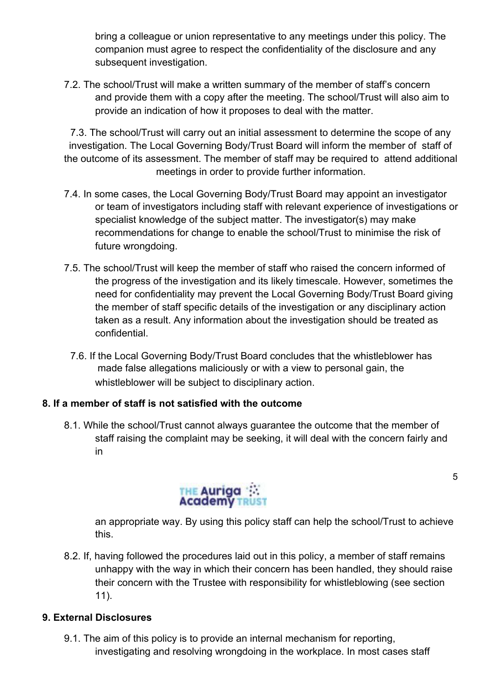bring a colleague or union representative to any meetings under this policy. The companion must agree to respect the confidentiality of the disclosure and any subsequent investigation.

7.2. The school/Trust will make a written summary of the member of staff's concern and provide them with a copy after the meeting. The school/Trust will also aim to provide an indication of how it proposes to deal with the matter.

7.3. The school/Trust will carry out an initial assessment to determine the scope of any investigation. The Local Governing Body/Trust Board will inform the member of staff of the outcome of its assessment. The member of staff may be required to attend additional meetings in order to provide further information.

- 7.4. In some cases, the Local Governing Body/Trust Board may appoint an investigator or team of investigators including staff with relevant experience of investigations or specialist knowledge of the subject matter. The investigator(s) may make recommendations for change to enable the school/Trust to minimise the risk of future wrongdoing.
- 7.5. The school/Trust will keep the member of staff who raised the concern informed of the progress of the investigation and its likely timescale. However, sometimes the need for confidentiality may prevent the Local Governing Body/Trust Board giving the member of staff specific details of the investigation or any disciplinary action taken as a result. Any information about the investigation should be treated as confidential.
	- 7.6. If the Local Governing Body/Trust Board concludes that the whistleblower has made false allegations maliciously or with a view to personal gain, the whistleblower will be subject to disciplinary action.

#### **8. If a member of staff is not satisfied with the outcome**

8.1. While the school/Trust cannot always guarantee the outcome that the member of staff raising the complaint may be seeking, it will deal with the concern fairly and in



an appropriate way. By using this policy staff can help the school/Trust to achieve this.

8.2. If, having followed the procedures laid out in this policy, a member of staff remains unhappy with the way in which their concern has been handled, they should raise their concern with the Trustee with responsibility for whistleblowing (see section 11).

#### **9. External Disclosures**

9.1. The aim of this policy is to provide an internal mechanism for reporting, investigating and resolving wrongdoing in the workplace. In most cases staff 5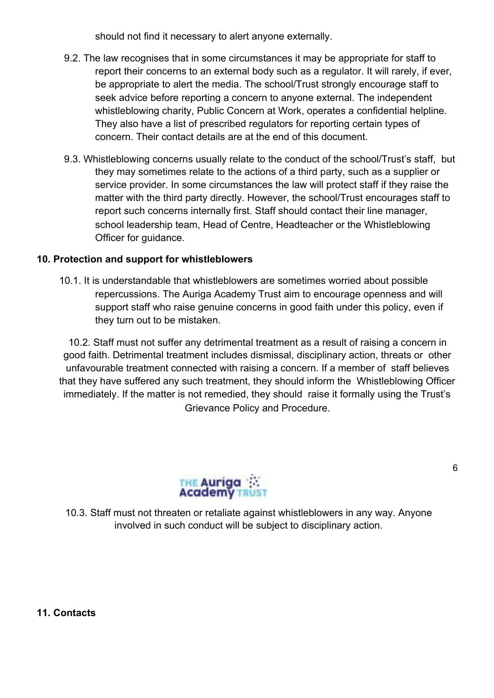should not find it necessary to alert anyone externally.

- 9.2. The law recognises that in some circumstances it may be appropriate for staff to report their concerns to an external body such as a regulator. It will rarely, if ever, be appropriate to alert the media. The school/Trust strongly encourage staff to seek advice before reporting a concern to anyone external. The independent whistleblowing charity, Public Concern at Work, operates a confidential helpline. They also have a list of prescribed regulators for reporting certain types of concern. Their contact details are at the end of this document.
- 9.3. Whistleblowing concerns usually relate to the conduct of the school/Trust's staff, but they may sometimes relate to the actions of a third party, such as a supplier or service provider. In some circumstances the law will protect staff if they raise the matter with the third party directly. However, the school/Trust encourages staff to report such concerns internally first. Staff should contact their line manager, school leadership team, Head of Centre, Headteacher or the Whistleblowing Officer for guidance.

#### **10. Protection and support for whistleblowers**

10.1. It is understandable that whistleblowers are sometimes worried about possible repercussions. The Auriga Academy Trust aim to encourage openness and will support staff who raise genuine concerns in good faith under this policy, even if they turn out to be mistaken.

10.2. Staff must not suffer any detrimental treatment as a result of raising a concern in good faith. Detrimental treatment includes dismissal, disciplinary action, threats or other unfavourable treatment connected with raising a concern. If a member of staff believes that they have suffered any such treatment, they should inform the Whistleblowing Officer immediately. If the matter is not remedied, they should raise it formally using the Trust's Grievance Policy and Procedure.



10.3. Staff must not threaten or retaliate against whistleblowers in any way. Anyone involved in such conduct will be subject to disciplinary action.